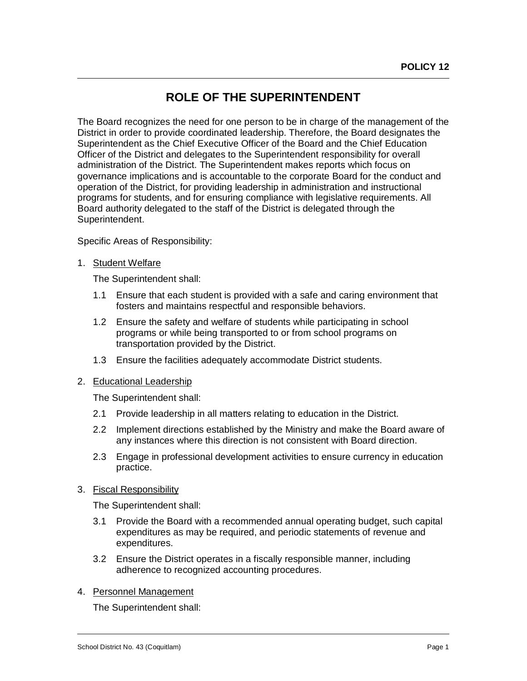# **ROLE OF THE SUPERINTENDENT**

The Board recognizes the need for one person to be in charge of the management of the District in order to provide coordinated leadership. Therefore, the Board designates the Superintendent as the Chief Executive Officer of the Board and the Chief Education Officer of the District and delegates to the Superintendent responsibility for overall administration of the District. The Superintendent makes reports which focus on governance implications and is accountable to the corporate Board for the conduct and operation of the District, for providing leadership in administration and instructional programs for students, and for ensuring compliance with legislative requirements. All Board authority delegated to the staff of the District is delegated through the Superintendent.

Specific Areas of Responsibility:

#### 1. Student Welfare

 $\overline{a}$ 

The Superintendent shall:

- 1.1 Ensure that each student is provided with a safe and caring environment that fosters and maintains respectful and responsible behaviors.
- 1.2 Ensure the safety and welfare of students while participating in school programs or while being transported to or from school programs on transportation provided by the District.
- 1.3 Ensure the facilities adequately accommodate District students.

#### 2. Educational Leadership

The Superintendent shall:

- 2.1 Provide leadership in all matters relating to education in the District.
- 2.2 Implement directions established by the Ministry and make the Board aware of any instances where this direction is not consistent with Board direction.
- 2.3 Engage in professional development activities to ensure currency in education practice.
- 3. Fiscal Responsibility

The Superintendent shall:

- 3.1 Provide the Board with a recommended annual operating budget, such capital expenditures as may be required, and periodic statements of revenue and expenditures.
- 3.2 Ensure the District operates in a fiscally responsible manner, including adherence to recognized accounting procedures.
- 4. Personnel Management

The Superintendent shall:

 $\overline{a}$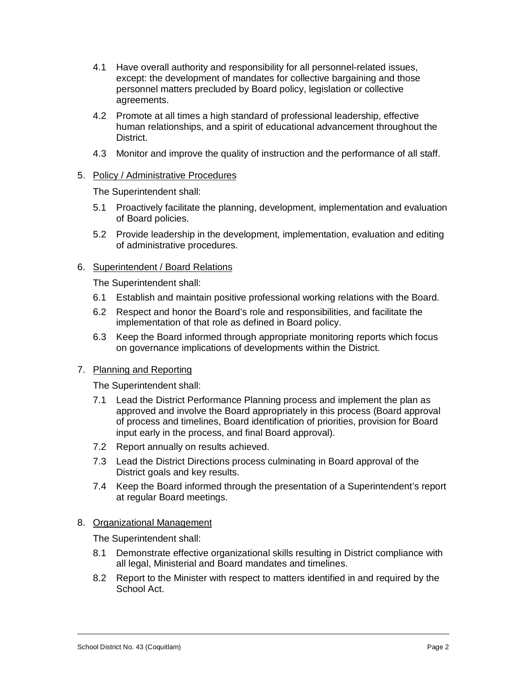- 4.1 Have overall authority and responsibility for all personnel-related issues, except: the development of mandates for collective bargaining and those personnel matters precluded by Board policy, legislation or collective agreements.
- 4.2 Promote at all times a high standard of professional leadership, effective human relationships, and a spirit of educational advancement throughout the District.
- 4.3 Monitor and improve the quality of instruction and the performance of all staff.

# 5. Policy / Administrative Procedures

The Superintendent shall:

- 5.1 Proactively facilitate the planning, development, implementation and evaluation of Board policies.
- 5.2 Provide leadership in the development, implementation, evaluation and editing of administrative procedures.

## 6. Superintendent / Board Relations

The Superintendent shall:

- 6.1 Establish and maintain positive professional working relations with the Board.
- 6.2 Respect and honor the Board's role and responsibilities, and facilitate the implementation of that role as defined in Board policy.
- 6.3 Keep the Board informed through appropriate monitoring reports which focus on governance implications of developments within the District.

# 7. Planning and Reporting

The Superintendent shall:

- 7.1 Lead the District Performance Planning process and implement the plan as approved and involve the Board appropriately in this process (Board approval of process and timelines, Board identification of priorities, provision for Board input early in the process, and final Board approval).
- 7.2 Report annually on results achieved.
- 7.3 Lead the District Directions process culminating in Board approval of the District goals and key results.
- 7.4 Keep the Board informed through the presentation of a Superintendent's report at regular Board meetings.

#### 8. Organizational Management

The Superintendent shall:

- 8.1 Demonstrate effective organizational skills resulting in District compliance with all legal, Ministerial and Board mandates and timelines.
- 8.2 Report to the Minister with respect to matters identified in and required by the School Act.

 $\overline{a}$